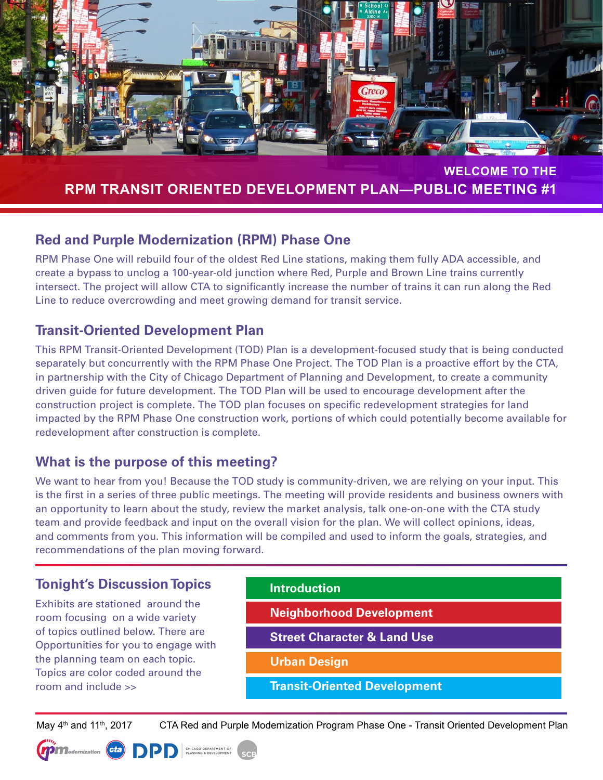

#### **WELCOME TO THE RPM TRANSIT ORIENTED DEVELOPMENT PLAN—PUBLIC MEETING #1**

# **Red and Purple Modernization (RPM) Phase One**

RPM Phase One will rebuild four of the oldest Red Line stations, making them fully ADA accessible, and create a bypass to unclog a 100-year-old junction where Red, Purple and Brown Line trains currently intersect. The project will allow CTA to significantly increase the number of trains it can run along the Red Line to reduce overcrowding and meet growing demand for transit service.

# **Transit-Oriented Development Plan**

This RPM Transit-Oriented Development (TOD) Plan is a development-focused study that is being conducted separately but concurrently with the RPM Phase One Project. The TOD Plan is a proactive effort by the CTA, in partnership with the City of Chicago Department of Planning and Development, to create a community driven guide for future development. The TOD Plan will be used to encourage development after the construction project is complete. The TOD plan focuses on specific redevelopment strategies for land impacted by the RPM Phase One construction work, portions of which could potentially become available for redevelopment after construction is complete.

# **What is the purpose of this meeting?**

We want to hear from you! Because the TOD study is community-driven, we are relying on your input. This is the first in a series of three public meetings. The meeting will provide residents and business owners with an opportunity to learn about the study, review the market analysis, talk one-on-one with the CTA study team and provide feedback and input on the overall vision for the plan. We will collect opinions, ideas, and comments from you. This information will be compiled and used to inform the goals, strategies, and recommendations of the plan moving forward.

# **Tonight's Discussion Topics**

Exhibits are stationed around the room focusing on a wide variety of topics outlined below. There are Opportunities for you to engage with the planning team on each topic. Topics are color coded around the room and include >>

| <b>Introduction</b>                    |
|----------------------------------------|
| <b>Neighborhood Development</b>        |
| <b>Street Character &amp; Land Use</b> |
|                                        |

**Urban Design** 

**Transit-Oriented Development**

May 4<sup>th</sup> and 11<sup>th</sup>, 2017 CTA Red and Purple Modernization Program Phase One - Transit Oriented Development Plan